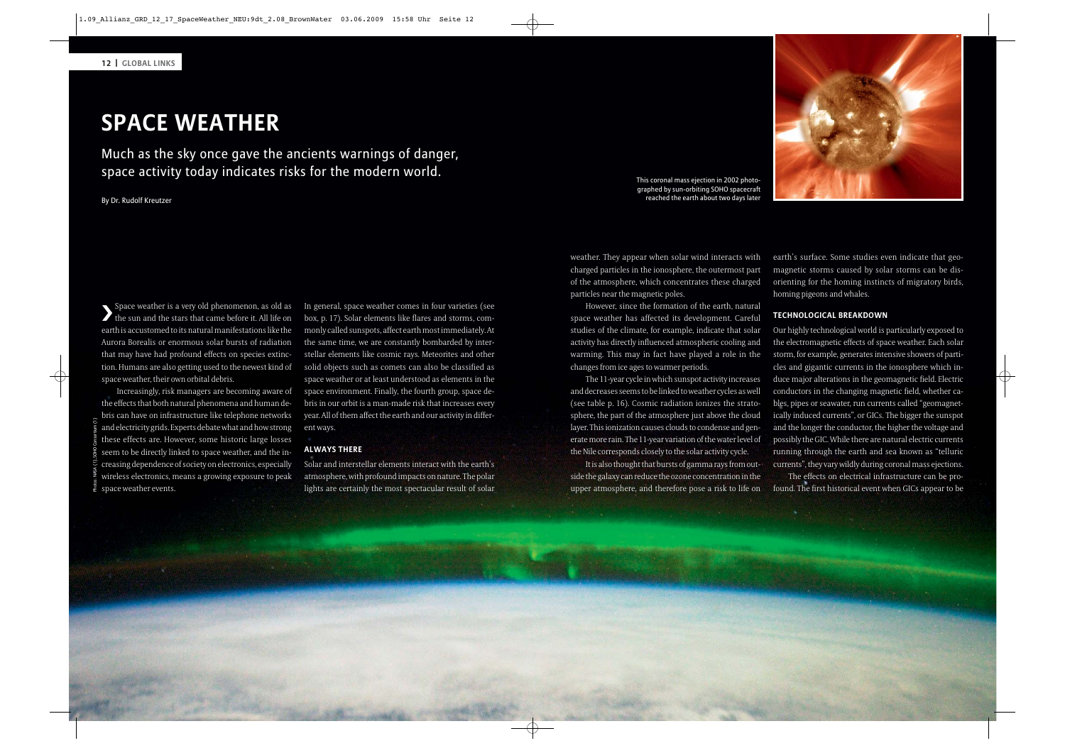# **SPACE WEATHER**

Much as the sky once gave the ancients warnings of danger, space activity today indicates risks for the modern world. This coronal mass ejection in 2002 photo-

By Dr. Rudolf Kreutzer

❯Space weather is a very old phenomenon, as old as the sun and the stars that came before it. All life on earth is accustomed to its natural manifestations like the Aurora Borealis or enormous solar bursts of radiation that may have had profound effects on species extinction. Humans are also getting used to the newest kind of space weather, their own orbital debris.

Increasingly, risk managers are becoming aware of the effects that both natural phenomena and human debris can have on infrastructure like telephone networks and electricity grids. Experts debate what and how strong these effects are. However, some historic large losses seem to be directly linked to space weather, and the increasing dependence of society on electronics, especially wireless electronics, means a growing exposure to peak space weather events. Photos: NASA (1), SOHO Consortium (1)

In general, space weather comes in four varieties (see box, p. 17). Solar elements like flares and storms, commonly called sunspots, affect earth most immediately. At the same time, we are constantly bombarded by interstellar elements like cosmic rays. Meteorites and other solid objects such as comets can also be classified as space weather or at least understood as elements in the space environment. Finally, the fourth group, space debris in our orbit is a man-made risk that increases every year. All of them affect the earth and our activity in differ ent ways.

#### **ALWAYS THERE**

Solar and interstellar elements interact with the earth's atmosphere, with profound impacts on nature. The polar lights are certainly the most spectacular result of solar

weather. They appear when solar wind interacts with charged particles in the ionosphere, the outermost part of the atmosphere, which concentrates these charged particles near the magnetic poles.

However, since the formation of the earth, natural space weather has affected its development. Careful studies of the climate, for example, indicate that solar activity has directly influenced atmospheric cooling and warm ing. This may in fact have played a role in the changes from ice ages to warmer periods.

The 11-year cycle in which sunspot activity increases and decreases seems to be linked to weather cycles as well (see table p. 16). Cosmic radiation ionizes the strato sphere, the part of the atmosphere just above the cloud layer. This ionization causes clouds to condense and generate more rain. The 11-year variation of the water level of the Nile corresponds closely to the solar activity cycle.

It is also thought that bursts of gamma rays from outside the galaxy can reduce the ozone concentration in the upper atmosphere, and therefore pose a risk to life on

earth's surface. Some studies even indicate that geomagnetic storms caused by solar storms can be disorienting for the homing instincts of migratory birds, homing pigeons and whales.

#### **TECHNOLOGICAL BREAKDOWN**

Our highly technological world is particularly exposed to the electromagnetic effects of space weather. Each solar storm, for example, generates intensive showers of particles and gigantic currents in the ionosphere which induce major alterations in the geomagnetic field. Electric conductors in the changing magnetic field, whether cables, pipes or seawater, run currents called "geomagnetically induced currents", or GICs. The bigger the sunspot and the longer the conductor, the higher the voltage and possibly the GIC. While there are natural electric currents running through the earth and sea known as "telluric currents", they vary wildly during coronal mass ejections.

The effects on electrical infrastructure can be profound. The first historical event when GICs appear to be

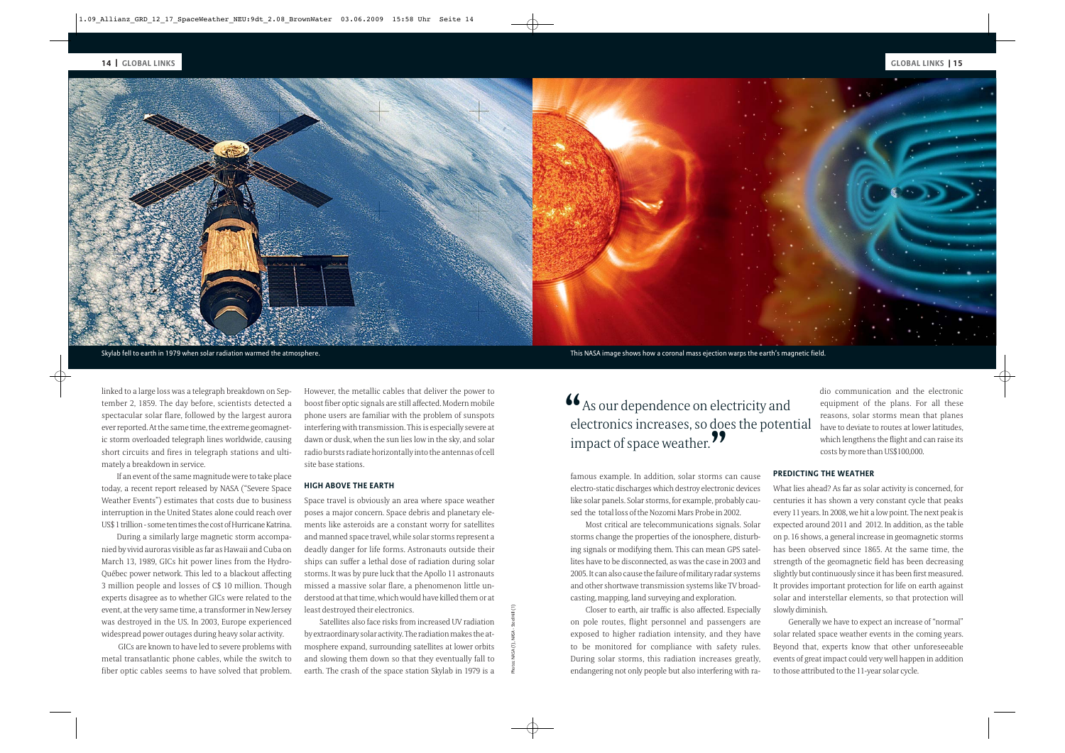

Photos: NASA (1), NASA - Steel Hill (1)

linked to a large loss was a telegraph breakdown on September 2, 1859. The day before, scientists detected a spectacular solar flare, followed by the largest aurora ever reported. At the same time, the extreme geomagnetic storm overloaded telegraph lines worldwide, causing short circuits and fires in telegraph stations and ultimately a breakdown in service.

If an event of the same magnitude were to take place today, a recent report released by NASA ("Severe Space Weather Events") estimates that costs due to business interruption in the United States alone could reach over US\$ 1 trillion - some ten times the cost of Hurricane Katrina.

During a similarly large magnetic storm accompanied by vivid auroras visible as far as Hawaii and Cuba on March 13, 1989, GICs hit power lines from the Hydro-Québec power network. This led to a blackout affecting 3 million people and losses of C\$ 10 million. Though experts disagree as to whether GICs were related to the event, at the very same time, a transformer in New Jersey was destroyed in the US. In 2003, Europe experienced widespread power outages during heavy solar activity.

GICs are known to have led to severe problems with metal transatlantic phone cables, while the switch to fiber optic cables seems to have solved that problem.

However, the metallic cables that deliver the power to boost fiber optic signals are still affected. Modern mobile phone users are familiar with the problem of sunspots interfering with transmission. This is especially severe at dawn or dusk, when the sun lies low in the sky, and solar radio bursts radiate horizontally into the antennas of cell site base stations.

#### **HIGH ABOVE THE EARTH**

Space travel is obviously an area where space weather poses a major concern. Space debris and planetary elements like asteroids are a constant worry for satellites and manned space travel, while solar storms represent a deadly danger for life forms. Astronauts outside their ships can suffer a lethal dose of radiation during solar storms. It was by pure luck that the Apollo 11 astronauts missed a massive solar flare, a phenomenon little understood at that time, which would have killed them or at least destroyed their electronics.

Satellites also face risks from increased UV radiation by extraordinary solar activity. The radiation makes the atmosphere expand, surrounding satellites at lower orbits and slowing them down so that they eventually fall to earth. The crash of the space station Skylab in 1979 is a

Skylab fell to earth in 1979 when solar radiation warmed the atmosphere. This NASA image shows how a coronal mass ejection warps the earth's magnetic field.

famous example. In addition, solar storms can cause electro-static discharges which destroy electronic devices like solar panels. Solar storms, for example, probably caused the total loss of the Nozomi Mars Probe in 2002.

Most critical are telecommunications signals. Solar storms change the properties of the ionosphere, disturbing signals or modifying them. This can mean GPS satellites have to be disconnected, as was the case in 2003 and 2005. It can also cause the failure of military radar systems and other shortwave transmission systems like TV broadcasting, mapping, land surveying and exploration.

Closer to earth, air traffic is also affected. Especially on pole routes, flight personnel and passengers are exposed to higher radiation intensity, and they have to be monitored for compliance with safety rules. During solar storms, this radiation increases greatly, endangering not only people but also interfering with ra-

dio communication and the electronic equipment of the plans. For all these reasons, solar storms mean that planes have to deviate to routes at lower latitudes, which lengthens the flight and can raise its costs by more than US\$100,000.

## **PREDICTING THE WEATHER**

What lies ahead? As far as solar activity is concerned, for centuries it has shown a very constant cycle that peaks every 11 years. In 2008, we hit a low point. The next peak is expected around 2011 and 2012. In addition, as the table on p. 16 shows, a general increase in geomagnetic storms has been observed since 1865. At the same time, the strength of the geomagnetic field has been decreasing slightly but continuously since it has been first measured. It provides important protection for life on earth against solar and interstellar elements, so that protection will slowly diminish. Grain to the plancation of the plancation is atted to the plancation is a term in the total in part of Space weather. The potential increases at the properties at the solar solar solar solar correspondence of Space weather

Generally we have to expect an increase of "normal" solar related space weather events in the coming years. Beyond that, experts know that other unforeseeable events of great impact could very well happen in addition